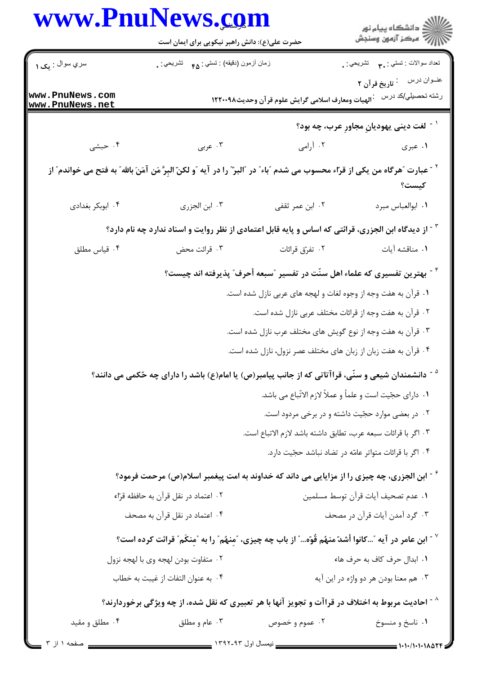|                                     | www.PnuNews.com<br>حضرت علی(ع): دانش راهبر نیکویی برای ایمان است                                                               |                                                                                               | انشڪاه پيام نور<br> 77 مرڪز آزمون وسنڊش          |  |
|-------------------------------------|--------------------------------------------------------------------------------------------------------------------------------|-----------------------------------------------------------------------------------------------|--------------------------------------------------|--|
| سري سوال : يک ۱                     | زمان أزمون (دقيقه) : تستي : <sub>۴۵</sub> تشريحي : <sub>.</sub>                                                                |                                                                                               | تعداد سوالات : تستبي : ٣ <b>. س</b> تشريحي : .   |  |
| www.PnuNews.com<br>www.PnuNews.net  | <sup>.</sup> الهيات ومعارف اسلامي گرايش علوم قر آن وحديث١٢٢٠٠٩٨                                                                |                                                                                               | عنــوان درس : تاريخ قرآن ٢<br>رشته تحصيلي/كد درس |  |
|                                     | <sup>۱ -</sup> لغت ديني يهوديانِ مجاورِ عرب، چه بود؟                                                                           |                                                                                               |                                                  |  |
| ۰۴ حبشی                             | ۰۳ عربی                                                                                                                        | ۰۲ آرامی                                                                                      | ۰۱ عبری                                          |  |
|                                     | `` - عبارت ″هرگاه من يكى از قراء محسوب مى شدم ″باء″ در ″البرّ″ را در آيه ″و لكنّ البِرَّ مَن آمَنَ بالله″ به فتح مى خواندم″ از |                                                                                               | كيست؟                                            |  |
| ۰۴ ابوبکر بغدادی                    | ٠٣ ابن الجزرى                                                                                                                  | ۰۲ ابن عمر ثقفی                                                                               | ٠١. ابوالعباس مبرد                               |  |
|                                     | <sup>۲</sup> <sup>-</sup> از دیدگاه ابن الجزری، قرائتی که اساس و پایه قابل اعتمادی از نظر روایت و اسناد ندارد چه نام دارد؟     |                                                                                               |                                                  |  |
| ۰۴ قياس مطلق                        | ۰۳ قرائت محض                                                                                                                   | ۰۲ تفرّق قرائات                                                                               | ٠١ مناقشه آيات                                   |  |
|                                     |                                                                                                                                | <sup>۴ -</sup> بهترین تفسیری که علماء اهل سنّت در تفسیر <b>"سبعه أحرف" پذیرفته اند چیست</b> ؟ |                                                  |  |
|                                     |                                                                                                                                | ۱. قرآن به هفت وجه از وجوه لغات و لهجه های عربی نازل شده است.                                 |                                                  |  |
|                                     |                                                                                                                                | ۰۲ قرآن به هفت وجه از قرائات مختلف عربی نازل شده است.                                         |                                                  |  |
|                                     |                                                                                                                                | ۰۳ قرآن به هفت وجه از نوع گویش های مختلف عرب نازل شده است.                                    |                                                  |  |
|                                     |                                                                                                                                | ۰۴ قرآن به هفت زبان از زبان های مختلف عصر نزول، نازل شده است.                                 |                                                  |  |
|                                     | <sup>۵ -</sup> دانشمندان شیعی و سنّی، قراآتاتی که از جانب پیامبر(ص) یا امام(ع) باشد را دارای چه حُکمی می دانند؟                |                                                                                               |                                                  |  |
|                                     |                                                                                                                                | ١.  داراى حجّيت است و علماً و عملاً لازم الاتّباع مى باشد.                                    |                                                  |  |
|                                     |                                                                                                                                | ۰۲ در بعضی موارد حجّیت داشته و در برخی مردود است.                                             |                                                  |  |
|                                     |                                                                                                                                | ٠٣ اگر با قرائات سبعه عرب، تطابق داشته باشد لازم الاتباع است.                                 |                                                  |  |
|                                     |                                                                                                                                | ۰۴ اگر با قرائات متواتر عامّه در تضاد نباشد حجّیت دارد.                                       |                                                  |  |
|                                     | <sup>۶</sup> <sup>-</sup> ابن الجزری، چه چیزی را از مزایایی می داند که خداوند به امت پیغمبر اسلام(ص) مرحمت فرمود؟              |                                                                                               |                                                  |  |
|                                     | ٠٢ اعتماد در نقل قرآن به حافظه قرّاء                                                                                           |                                                                                               | ٠١ عدم تصحيف آيات قرآن توسط مسلمين               |  |
|                                     | ۰۴ اعتماد در نقل قرآن به مصحف                                                                                                  |                                                                                               | ۰۳ گرد آمدن آیات قرآن در مصحف                    |  |
|                                     | ابن عامر در آیه "…کانوا أشدّ منهُم قُوّه… ّ از باب چه چیزی، "مِنهُم" را به "مِنکَم ّ قرائت کرده است؟ "                         |                                                                                               |                                                  |  |
| ٠٢ متفاوت بودن لهجه وي با لهجه نزول |                                                                                                                                |                                                                                               | ٠١. ابدال حرف كاف به حرف هاء                     |  |
|                                     | ۰۴ به عنوان التفات از غيبت به خطاب                                                                                             |                                                                                               | ۰۳ هم معنا بودن هر دو واژه در این آیه            |  |
|                                     | <sup>^ -</sup> احادیث مربوط به اختلاف در قراآت و تجویز آنها با هر تعبیری که نقل شده، از چه ویژگی برخوردارند؟                   |                                                                                               |                                                  |  |
| ۰۴ مطلق و مقید                      | ۰۳ عام و مطلق                                                                                                                  | ۰۲ عموم و خصوص                                                                                | ۰۱ ناسخ و منسوخ                                  |  |
| صفحه ۱ از ۳ ,                       | __ نیمسال اول ۹۳-۱۳۹۲ ____                                                                                                     |                                                                                               | 1.1.11.1.11A                                     |  |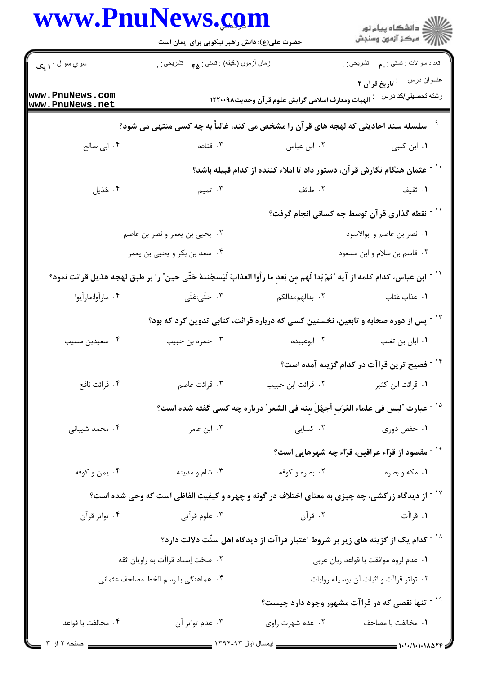|                                     | www.PnuNews.com<br>حضرت علی(ع): دانش راهبر نیکویی برای ایمان است                                                                            |                                                                                                 | ڪ دانشڪاه پيام نور<br>پ <sup>ر</sup> مرڪز آزمون وسنڊش        |  |
|-------------------------------------|---------------------------------------------------------------------------------------------------------------------------------------------|-------------------------------------------------------------------------------------------------|--------------------------------------------------------------|--|
| سري سوال : ۱ يک                     | زمان أزمون (دقيقه) : تستى : <sub>۴۵</sub> تشريحي : .                                                                                        |                                                                                                 |                                                              |  |
| www.PnuNews.com<br>www.PnuNews.net  |                                                                                                                                             | الهيات ومعارف اسلامي گرايش علوم قرآن وحديث١٢٢٠٠٩٨                                               | رشته تحصيل <i>ي </i> كد درس :                                |  |
|                                     | <sup>9 -</sup> سلسله سند احادیثی که لهجه های قرآن را مشخص می کند، غالباً به چه کسی منتهی می شود؟                                            |                                                                                                 |                                                              |  |
| ۰۴ ابی صالح                         | ۰۳ قتاده                                                                                                                                    | ۰۲ ابن عباس                                                                                     | ۰۱. ابن کلبی                                                 |  |
|                                     |                                                                                                                                             | ّ ` ` - عثمان هنگام نگارش قر آن، دستور داد تا املاء کننده از کدام قبیله باشد؟                   |                                                              |  |
| ۰۴ هُذيل                            | ۰۳ تمیم                                                                                                                                     | ٢. طائف                                                                                         | ۰۱ ثقیف                                                      |  |
|                                     |                                                                                                                                             |                                                                                                 | `` - نقطه گذاری قر آن توسط چه کسانی انجام گرفت؟              |  |
| ۲. یحیی بن یعمر و نصر بن عاصم       |                                                                                                                                             |                                                                                                 | ٠١ نصر بن عاصم و ابوالاسود                                   |  |
| ۰۴ سعد بن بكر و يحيى بن يعمر        |                                                                                                                                             | ۰۳ قاسم بن سلام و ابن مسعود                                                                     |                                                              |  |
|                                     | <sup>١٢ -</sup> ابن عباس، كدام كلمه از آيه ″ثمّ بَدا لَهم مِن بَعدِ ما رَأوا العذابَ لَيَسجُننهُ حَتّى حين″ را بر طبق لهجه هذيل قرائت نمود؟ |                                                                                                 |                                                              |  |
| ۰۴ مارأوا:مارَأيوا                  | ۴. حتّى:عَتّى                                                                                                                               | ۰۲ بدالهم:بدالکم                                                                                | ۰۱ عذاب:عَتاب                                                |  |
|                                     |                                                                                                                                             | <sup>۱۳ -</sup> پس از دوره صحابه و تابعین، نخستین کسی که درباره قرائت، کتابی تدوین کرد که بود؟  |                                                              |  |
| ۰۴ سعیدبن مسیب                      | ۰۳ حمزه بن حبيب                                                                                                                             | ۰۲ ابوعبیده                                                                                     | ۰۱ ابان بن تغلب                                              |  |
|                                     |                                                                                                                                             |                                                                                                 | <sup>۱۴ -</sup> فصیح ترین قراآت در کدام گزینه آمده است؟      |  |
| ۰۴ قرائت نافع                       | ۰۳ قرائت عاصم                                                                                                                               | ٠٢ قرائت ابن حبيب                                                                               | ۰۱ قرائت ابن کثیر                                            |  |
|                                     |                                                                                                                                             | <sup>14 -</sup> عبارت ″ليس في علماء العَرَبِ أجهَلُ مِنه في الشعر ″ درباره چه كسي گفته شده است؟ |                                                              |  |
| ۰۴ محمد شيباني                      | ۰۳ ابن عامر                                                                                                                                 | ۰۲ کسایی                                                                                        | ۰۱ حفص دوری                                                  |  |
|                                     |                                                                                                                                             |                                                                                                 | <sup>۱۶ -</sup> مقصود از قرّاء عراقین، قرّاء چه شهرهایی است؟ |  |
| ۰۴ يمن و كوفه                       | ۰۳ شام و مدينه                                                                                                                              | ۰۲ بصره و کوفه                                                                                  | ۰۱ مکه و بصره                                                |  |
|                                     | <sup>۱۷ -</sup> از دیدگاه زرکشی، چه چیزی به معنای اختلاف در گونه و چهره و کیفیت الفاظی است که وحی شده است؟                                  |                                                                                                 |                                                              |  |
| ۰۴ تواتر قرآن                       | ۰۳ علوم قرآنی                                                                                                                               | ۰۲ قرآن                                                                                         | ١. قراآت                                                     |  |
|                                     |                                                                                                                                             | <sup>۱۸ -</sup> کدام یک از گزینه های زیر بر شروط اعتبار قراآت از دیدگاه اهل سنّت دلالت دارد؟    |                                                              |  |
| ۰۲ صحّت إسناد قراآت به راويان ثقه   |                                                                                                                                             | ٠١ عدم لزوم موافقت با قواعد زبان عربي                                                           |                                                              |  |
| ۰۴ هماهنگی با رسم الخط مصاحف عثمانی |                                                                                                                                             |                                                                                                 | ۰۳ تواتر قراآت و اثبات آن بوسیله روایات                      |  |
|                                     |                                                                                                                                             |                                                                                                 | <sup>۱۹ -</sup> تنها نقصی که در قراآت مشهور وجود دارد چیست؟  |  |
| ۰۴ مخالفت با قواعد                  | ۰۳ عدم تواتر آن                                                                                                                             | ۰۲ عدم شهرت راوي                                                                                | ٠١. مخالفت با مصاحف                                          |  |
| صفحه ۲ از ۳                         |                                                                                                                                             |                                                                                                 |                                                              |  |